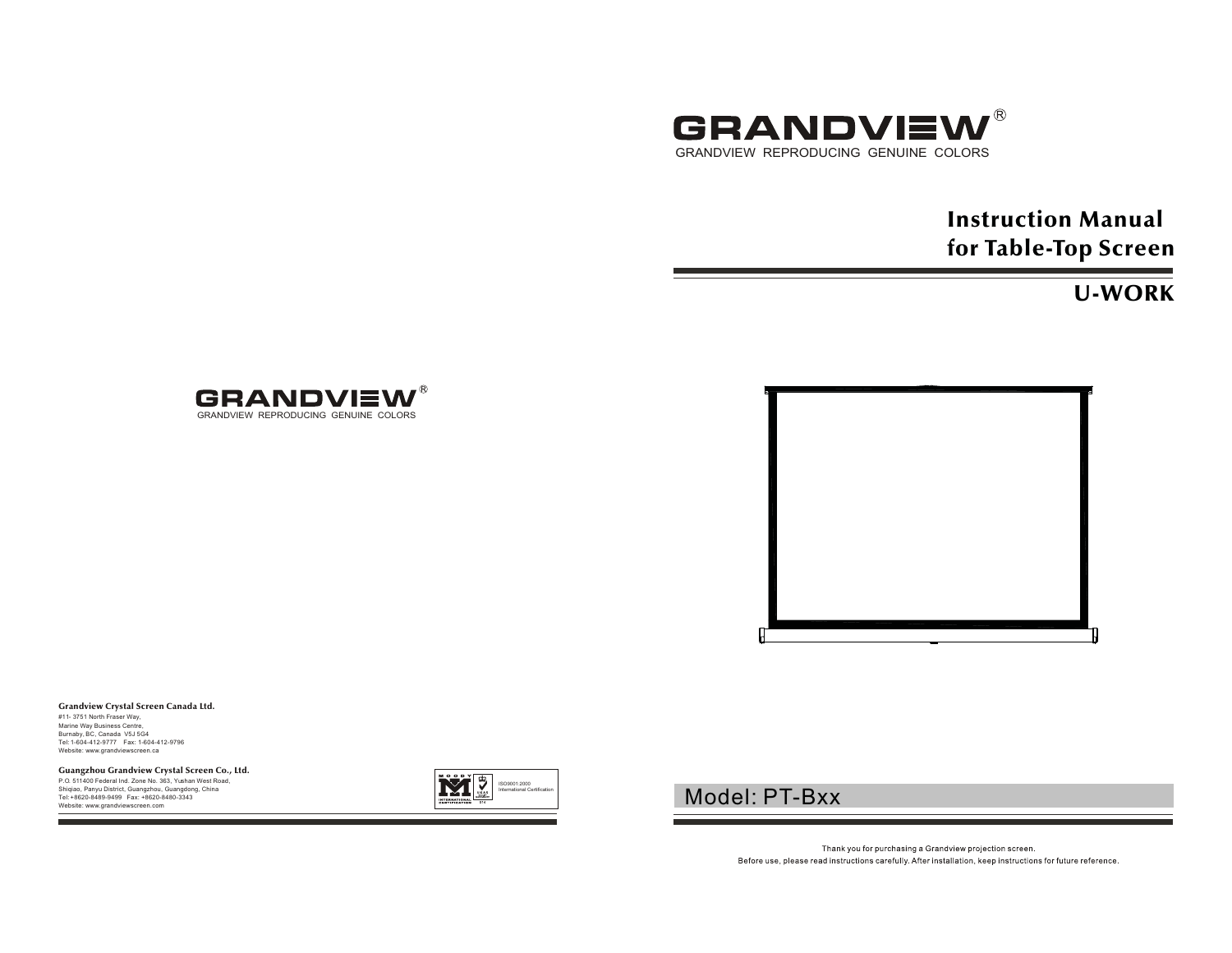

# Instruction Manual for Table-Top Screen

## U-WORK





### Grandview Crystal Screen Canada Ltd.

#11- 3751 North Fraser Way, Marine Way Business Centre, Burnaby, BC, Canada V5J 5G4 Tel: 1-604-412-9777 Fax: 1-604-412-9796 Website: www.grandviewscreen.ca

### Guangzhou Grandview Crystal Screen Co., Ltd.

P.O. 511400 Federal Ind. Zone No. 363, Yushan West Road, Shiqiao, Panyu District, Guangzhou, Guangdong, China Tel: +8620-8489-9499 Fax: +8620-8480-3343Website: www.grandviewscreen.com



## Model: PT-Bxx

Thank you for purchasing a Grandview projection screen. Before use, please read instructions carefully. After installation, keep instructions for future reference.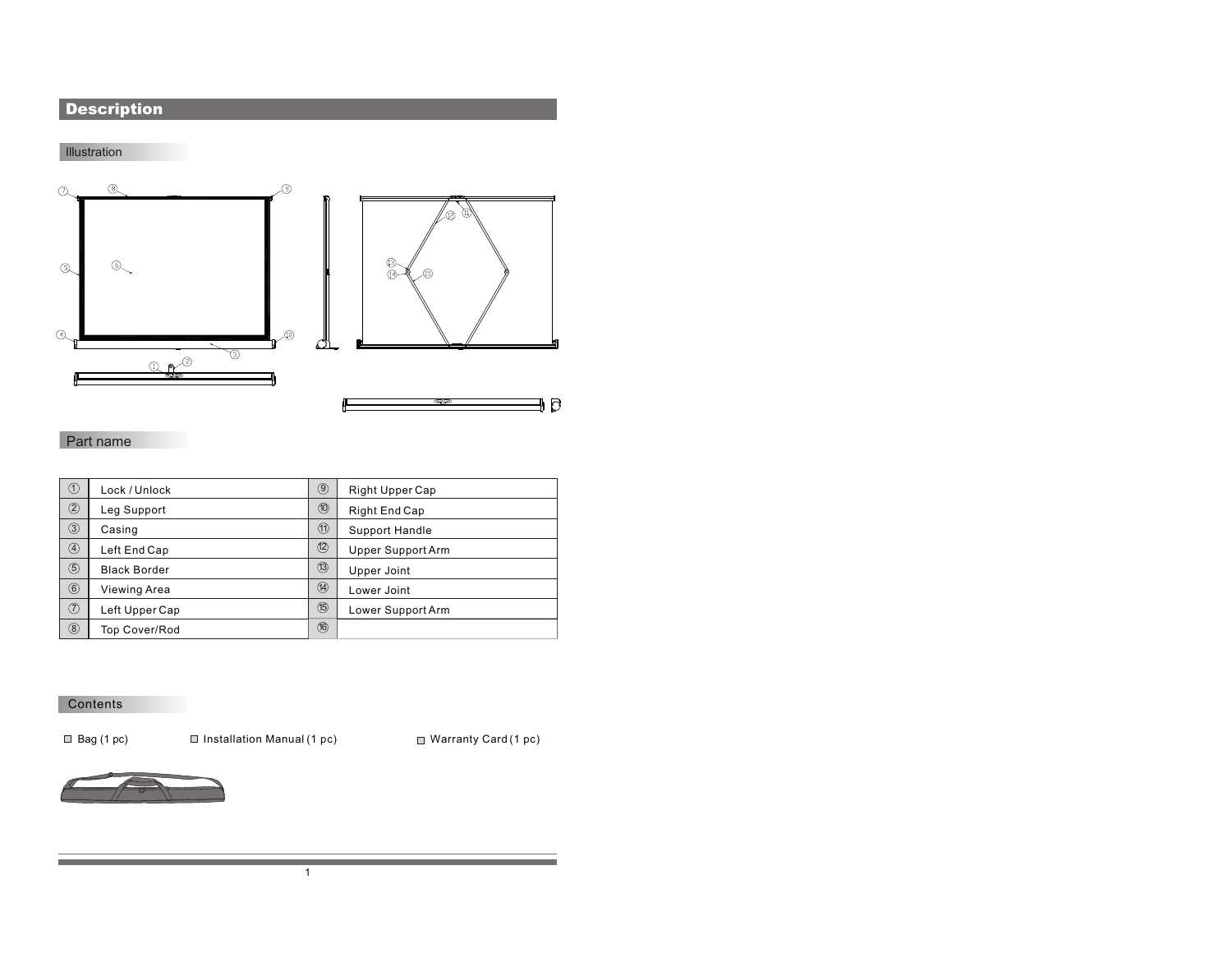## **Description**

### Illustration







### Part name

| ①              | Lock / Unlock        | $\circledcirc$ | <b>Right Upper Cap</b> |
|----------------|----------------------|----------------|------------------------|
| $^{\circledR}$ | Leg Support          | $^{\circledR}$ | Right End Cap          |
| $\circled{3}$  | Casing               | $^{\circledR}$ | Support Handle         |
| ④              | Left End Cap         | $\circled{2}$  | Upper Support Arm      |
| $\circledS$    | <b>Black Border</b>  | (13)           | Upper Joint            |
| $\circled6$    | Viewing Area         | 14             | Lower Joint            |
| ℗              | Left Upper Cap       | $\circledB$    | Lower Support Arm      |
| ⑧              | <b>Top Cover/Rod</b> | (16)           |                        |

1

#### Contents

■ Bag (1 pc) Installation Manual (1 pc) Installation Manual (1 pc)

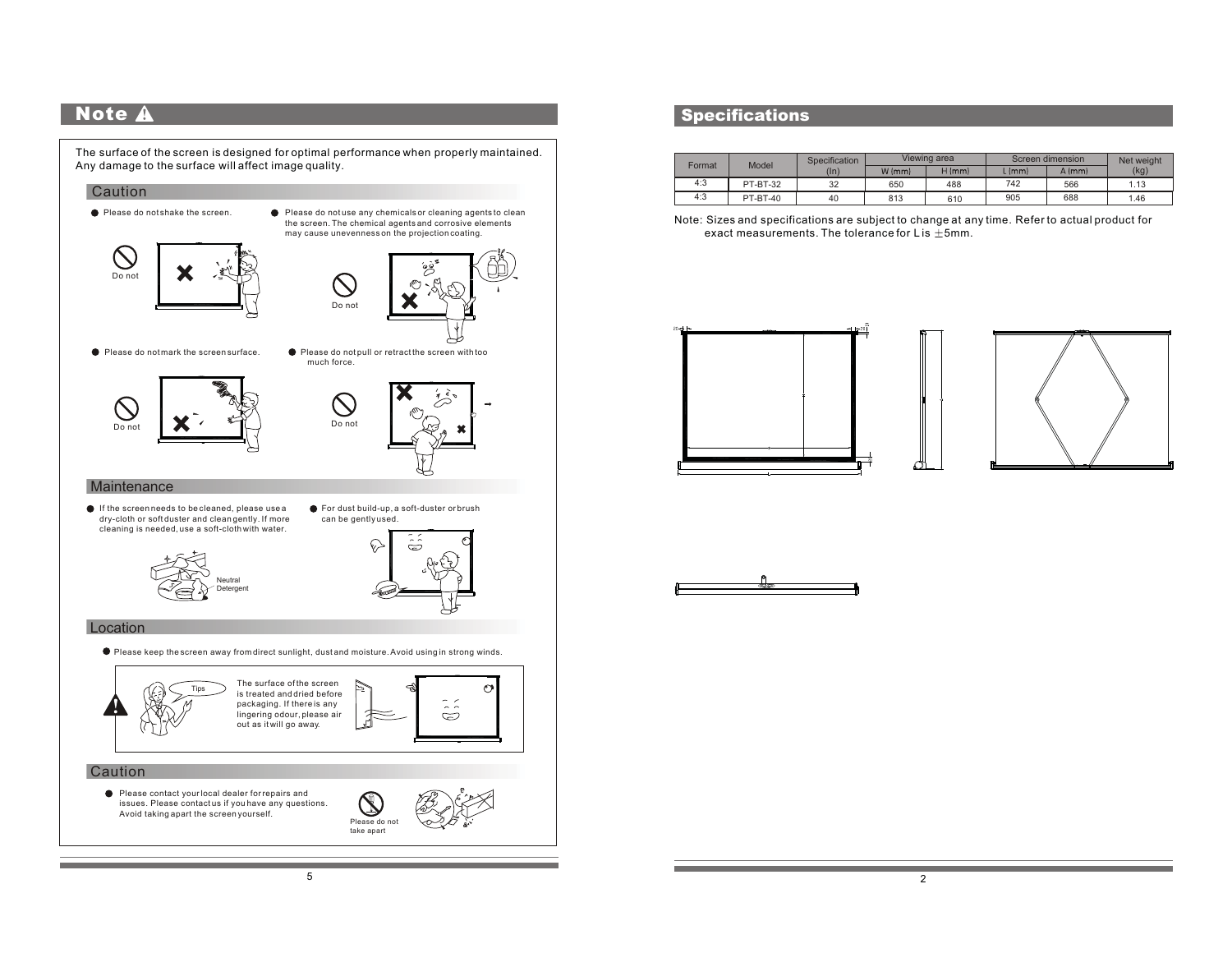## **Note**

The surface of the screen is designed for optimal performance when properly maintained. Any damage to the surface will affect image quality.

### Caution





- cleaning is needed, use a soft-cloth with water.
- **•** For dust build-up, a soft-duster or brush can be gently used.





#### Location

Please keep the screen away from direct sunlight, dust and moisture. Avoid using in strong winds.



### **Specifications**

|        | Model           | <b>Specification</b> |          | Viewing area |        | Screen dimension |      |
|--------|-----------------|----------------------|----------|--------------|--------|------------------|------|
| Format |                 | $(\ln)$              | $W$ (mm) | $H$ (mm)     | . (mm) | A (mm)           | (kg) |
| 4:3    | <b>PT-BT-32</b> | 32                   | 650      | 488          | 742    | 566              | 1.13 |
| 4:3    | <b>PT-BT-40</b> | 40                   | 813      | 610          | 905    | 688              | 1.46 |

Note: Sizes and specifications are subject to change at any time. Refer to actual product for exact measurements. The tolerance for L is  $±5$ mm.